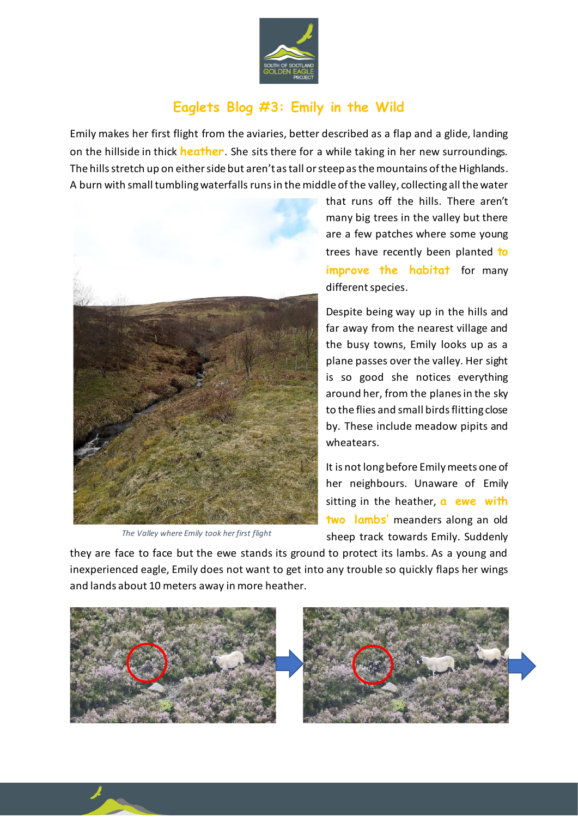

## **Eaglets Blog #3: Emily in the Wild**

Emily makes her first flight from the aviaries, better described as a flap and a glide, landing on the hillside in thick **heather**. She sits there for a while taking in her new surroundings. The hills stretch up on either side but aren't as tall or steep as the mountains of the Highlands. A burn with small tumbling waterfalls runs in the middle of the valley, collecting all the water



*The Valley where Emily took her first flight*

that runs off the hills. There aren't many big trees in the valley but there are a few patches where some young trees have recently been planted **to improve the habitat** for many different species.

Despite being way up in the hills and far away from the nearest village and the busy towns, Emily looks up as a plane passes over the valley. Her sight is so good she notices everything around her, from the planes in the sky to the flies and small birds flitting close by. These include meadow pipits and wheatears.

It is not long before Emily meets one of her neighbours. Unaware of Emily sitting in the heather, **a ewe with two lambs'** meanders along an old sheep track towards Emily. Suddenly

they are face to face but the ewe stands its ground to protect its lambs. As a young and inexperienced eagle, Emily does not want to get into any trouble so quickly flaps her wings and lands about 10 meters away in more heather.

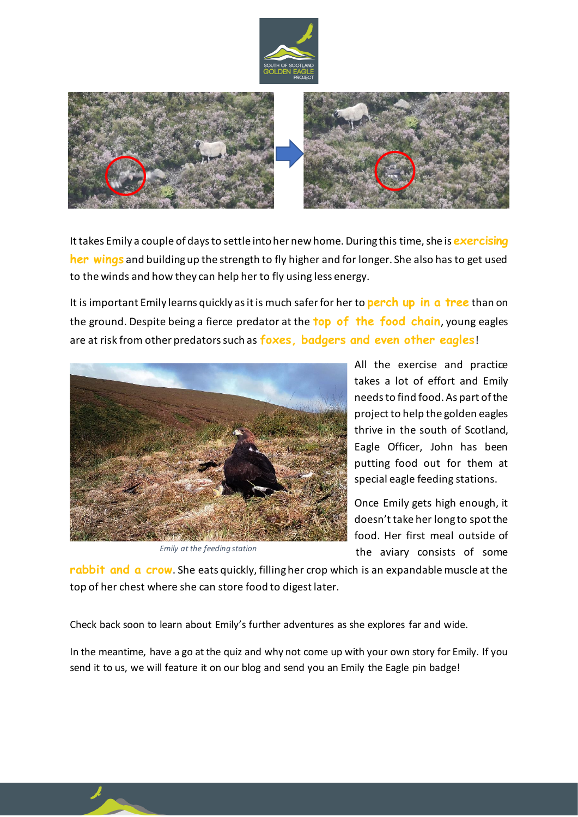



It takes Emily a couple of days to settle into her new home. During this time, she is **exercising her wings** and building up the strength to fly higher and for longer. She also has to get used to the winds and how they can help her to fly using less energy.

It is important Emily learns quickly as it is much safer for her to **perch up in a tree** than on the ground. Despite being a fierce predator at the **top of the food chain**, young eagles are at risk from other predators such as **foxes, badgers and even other eagles**!



*Emily at the feeding station*

All the exercise and practice takes a lot of effort and Emily needs to find food. As part of the project to help the golden eagles thrive in the south of Scotland, Eagle Officer, John has been putting food out for them at special eagle feeding stations.

Once Emily gets high enough, it doesn't take her long to spot the food. Her first meal outside of the aviary consists of some

**rabbit and a crow**. She eats quickly, filling her crop which is an expandable muscle at the top of her chest where she can store food to digest later.

Check back soon to learn about Emily's further adventures as she explores far and wide.

In the meantime, have a go at the quiz and why not come up with your own story for Emily. If you send it to us, we will feature it on our blog and send you an Emily the Eagle pin badge!